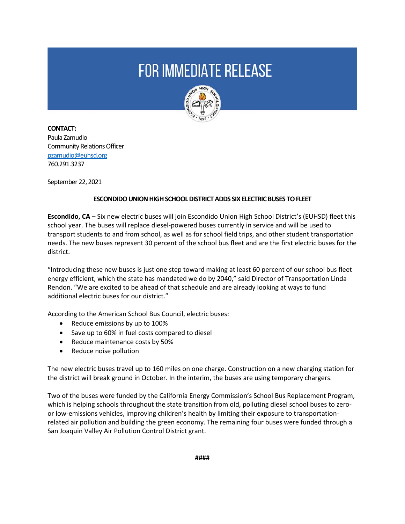## **FOR IMMEDIATE RELEASE**



**CONTACT:**  Paula Zamudio Community Relations Officer [pzamudio@euhsd.org](mailto:pzamudio@euhsd.org) 760.291.3237

September 22, 2021

## **ESCONDIDO UNION HIGH SCHOOL DISTRICT ADDS SIX ELECTRIC BUSES TO FLEET**

**Escondido, CA** – Six new electric buses will join Escondido Union High School District's (EUHSD) fleet this school year. The buses will replace diesel-powered buses currently in service and will be used to transport students to and from school, as well as for school field trips, and other student transportation needs. The new buses represent 30 percent of the school bus fleet and are the first electric buses for the district.

"Introducing these new buses is just one step toward making at least 60 percent of our school bus fleet energy efficient, which the state has mandated we do by 2040," said Director of Transportation Linda Rendon. "We are excited to be ahead of that schedule and are already looking at ways to fund additional electric buses for our district."

According to the American School Bus Council, electric buses:

- Reduce emissions by up to 100%
- Save up to 60% in fuel costs compared to diesel
- Reduce maintenance costs by 50%
- Reduce noise pollution

The new electric buses travel up to 160 miles on one charge. Construction on a new charging station for the district will break ground in October. In the interim, the buses are using temporary chargers.

Two of the buses were funded by the California Energy Commission's School Bus Replacement Program, which is helping schools throughout the state transition from old, polluting diesel school buses to zeroor low-emissions vehicles, improving children's health by limiting their exposure to transportationrelated air pollution and building the green economy. The remaining four buses were funded through a San Joaquin Valley Air Pollution Control District grant.

**####**